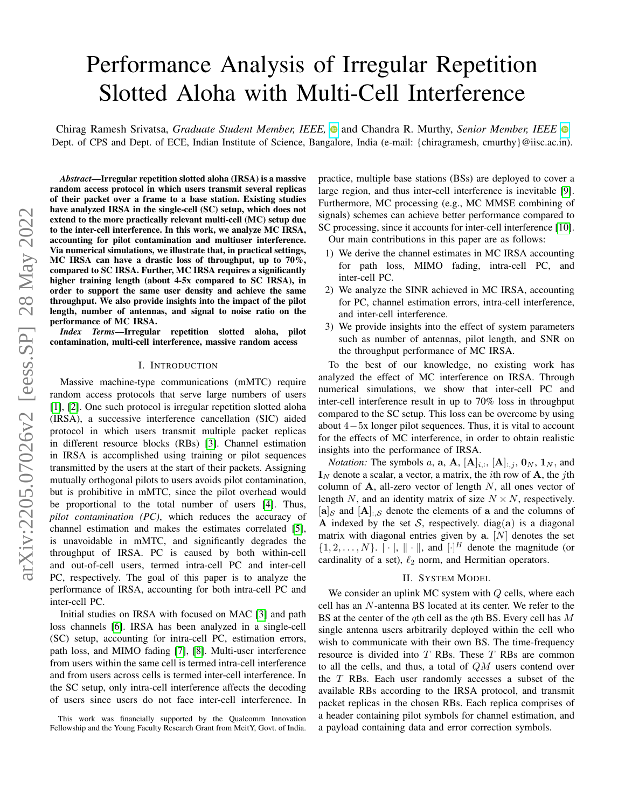# Performance Analysis of Irregular Repetition Slotted Aloha with Multi-Cell Interference

Chirag Ramesh Srivatsa, *Graduate Student Member, IEEE*, **a**nd Chandra R. Murthy, *Senior Member, IEEE* **a** Dept. of CPS and Dept. of ECE, Indian Institute of Science, Bangalore, India (e-mail: {chiragramesh, cmurthy}@iisc.ac.in).

*Abstract*—Irregular repetition slotted aloha (IRSA) is a massive random access protocol in which users transmit several replicas of their packet over a frame to a base station. Existing studies have analyzed IRSA in the single-cell (SC) setup, which does not extend to the more practically relevant multi-cell (MC) setup due to the inter-cell interference. In this work, we analyze MC IRSA, accounting for pilot contamination and multiuser interference. Via numerical simulations, we illustrate that, in practical settings, MC IRSA can have a drastic loss of throughput, up to 70%, compared to SC IRSA. Further, MC IRSA requires a significantly higher training length (about 4-5x compared to SC IRSA), in order to support the same user density and achieve the same throughput. We also provide insights into the impact of the pilot length, number of antennas, and signal to noise ratio on the performance of MC IRSA.

*Index Terms*—Irregular repetition slotted aloha, pilot contamination, multi-cell interference, massive random access

#### I. INTRODUCTION

Massive machine-type communications (mMTC) require random access protocols that serve large numbers of users [\[1\]](#page-5-0), [\[2\]](#page-5-1). One such protocol is irregular repetition slotted aloha (IRSA), a successive interference cancellation (SIC) aided protocol in which users transmit multiple packet replicas in different resource blocks (RBs) [\[3\]](#page-5-2). Channel estimation in IRSA is accomplished using training or pilot sequences transmitted by the users at the start of their packets. Assigning mutually orthogonal pilots to users avoids pilot contamination, but is prohibitive in mMTC, since the pilot overhead would be proportional to the total number of users [\[4\]](#page-5-3). Thus, *pilot contamination (PC)*, which reduces the accuracy of channel estimation and makes the estimates correlated [\[5\]](#page-5-4), is unavoidable in mMTC, and significantly degrades the throughput of IRSA. PC is caused by both within-cell and out-of-cell users, termed intra-cell PC and inter-cell PC, respectively. The goal of this paper is to analyze the performance of IRSA, accounting for both intra-cell PC and inter-cell PC.

Initial studies on IRSA with focused on MAC [\[3\]](#page-5-2) and path loss channels [\[6\]](#page-5-5). IRSA has been analyzed in a single-cell (SC) setup, accounting for intra-cell PC, estimation errors, path loss, and MIMO fading [\[7\]](#page-5-6), [\[8\]](#page-5-7). Multi-user interference from users within the same cell is termed intra-cell interference and from users across cells is termed inter-cell interference. In the SC setup, only intra-cell interference affects the decoding of users since users do not face inter-cell interference. In practice, multiple base stations (BSs) are deployed to cover a large region, and thus inter-cell interference is inevitable [\[9\]](#page-5-8). Furthermore, MC processing (e.g., MC MMSE combining of signals) schemes can achieve better performance compared to SC processing, since it accounts for inter-cell interference [\[10\]](#page-5-9).

Our main contributions in this paper are as follows:

- 1) We derive the channel estimates in MC IRSA accounting for path loss, MIMO fading, intra-cell PC, and inter-cell PC.
- 2) We analyze the SINR achieved in MC IRSA, accounting for PC, channel estimation errors, intra-cell interference, and inter-cell interference.
- 3) We provide insights into the effect of system parameters such as number of antennas, pilot length, and SNR on the throughput performance of MC IRSA.

To the best of our knowledge, no existing work has analyzed the effect of MC interference on IRSA. Through numerical simulations, we show that inter-cell PC and inter-cell interference result in up to 70% loss in throughput compared to the SC setup. This loss can be overcome by using about 4−5x longer pilot sequences. Thus, it is vital to account for the effects of MC interference, in order to obtain realistic insights into the performance of IRSA.

*Notation:* The symbols a,  $\mathbf{a}, \mathbf{A}, [\mathbf{A}]_{i,:}, [\mathbf{A}]_{:,j}, \mathbf{0}_N, \mathbf{1}_N$ , and  $I_N$  denote a scalar, a vector, a matrix, the *i*th row of **A**, the *j*th column of  $A$ , all-zero vector of length  $N$ , all ones vector of length N, and an identity matrix of size  $N \times N$ , respectively.  $[a]_S$  and  $[A]_{\alpha}$  denote the elements of a and the columns of A indexed by the set S, respectively. diag(a) is a diagonal matrix with diagonal entries given by  $a$ . [N] denotes the set  $\{1, 2, \ldots, N\}$ .  $|\cdot|$ ,  $\|\cdot\|$ , and  $[\cdot]^H$  denote the magnitude (or cardinality of a set),  $\ell_2$  norm, and Hermitian operators.

#### II. SYSTEM MODEL

We consider an uplink MC system with  $Q$  cells, where each cell has an N-antenna BS located at its center. We refer to the BS at the center of the qth cell as the qth BS. Every cell has  $M$ single antenna users arbitrarily deployed within the cell who wish to communicate with their own BS. The time-frequency resource is divided into  $T$  RBs. These  $T$  RBs are common to all the cells, and thus, a total of  $QM$  users contend over the  $T$  RBs. Each user randomly accesses a subset of the available RBs according to the IRSA protocol, and transmit packet replicas in the chosen RBs. Each replica comprises of a header containing pilot symbols for channel estimation, and a payload containing data and error correction symbols.

This work was financially supported by the Qualcomm Innovation Fellowship and the Young Faculty Research Grant from MeitY, Govt. of India.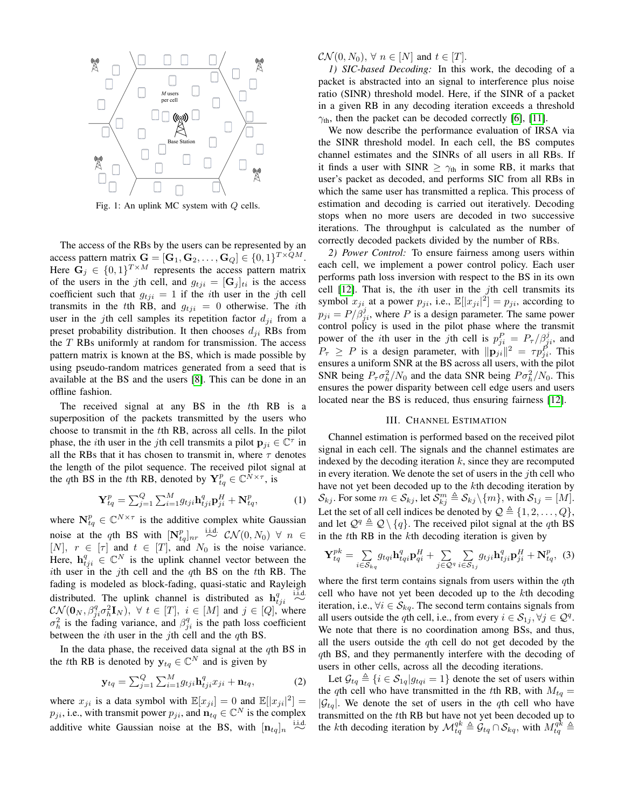

Fig. 1: An uplink MC system with Q cells.

The access of the RBs by the users can be represented by an access pattern matrix  $\mathbf{G} = [\mathbf{G}_1, \mathbf{G}_2, \dots, \mathbf{G}_Q] \in \{0, 1\}^{T \times QM}$ . Here  $G_j \in \{0,1\}^{T \times M}$  represents the access pattern matrix of the users in the jth cell, and  $g_{tji} = [\mathbf{G}_j]_{ti}$  is the access coefficient such that  $g_{tji} = 1$  if the *i*th user in the *j*th cell transmits in the tth RB, and  $g_{tji} = 0$  otherwise. The *i*th user in the jth cell samples its repetition factor  $d_{ji}$  from a preset probability distribution. It then chooses  $d_{ji}$  RBs from the  $T$  RBs uniformly at random for transmission. The access pattern matrix is known at the BS, which is made possible by using pseudo-random matrices generated from a seed that is available at the BS and the users [\[8\]](#page-5-7). This can be done in an offline fashion.

The received signal at any BS in the tth RB is a superposition of the packets transmitted by the users who choose to transmit in the tth RB, across all cells. In the pilot phase, the *i*th user in the *j*th cell transmits a pilot  $\mathbf{p}_{ji} \in \mathbb{C}^{\tau}$  in all the RBs that it has chosen to transmit in, where  $\tau$  denotes the length of the pilot sequence. The received pilot signal at the qth BS in the tth RB, denoted by  $\mathbf{Y}_{tq}^p \in \mathbb{C}^{\tilde{N} \times \tau}$ , is

$$
\mathbf{Y}_{tq}^p = \sum_{j=1}^Q \sum_{i=1}^M g_{tji} \mathbf{h}_{tji}^q \mathbf{p}_{ji}^H + \mathbf{N}_{tq}^p, \tag{1}
$$

where  $N_{tq}^{p} \in \mathbb{C}^{N \times \tau}$  is the additive complex white Gaussian noise at the qth BS with  $[\mathbf{N}_{tq}^p]_{nr} \stackrel{\text{i.i.d.}}{\sim} C\mathcal{N}(0, N_0)$   $\forall n \in$ [N],  $r \in [\tau]$  and  $t \in [T]$ , and  $N_0$  is the noise variance. Here,  $\mathbf{h}_{tji}^q \in \mathbb{C}^N$  is the uplink channel vector between the ith user in the jth cell and the  $q$ th BS on the  $t$ th RB. The fading is modeled as block-fading, quasi-static and Rayleigh distributed. The uplink channel is distributed as  $h_{tji}^q \overset{\text{i.i.d.}}{\sim}$  $\mathcal{CN}(\mathbf{0}_N, \beta_{ji}^q \sigma_h^2 \mathbf{I}_N), \forall t \in [T], i \in [M]$  and  $j \in [Q]$ , where  $\sigma_h^2$  is the fading variance, and  $\beta_{ji}^q$  is the path loss coefficient between the *i*th user in the *j*th cell and the *q*th BS.

In the data phase, the received data signal at the  $q$ th BS in the *t*th RB is denoted by  $y_{tq} \in \mathbb{C}^N$  and is given by

$$
\mathbf{y}_{tq} = \sum_{j=1}^{Q} \sum_{i=1}^{M} g_{tji} \mathbf{h}_{tji}^{q} x_{ji} + \mathbf{n}_{tq}, \tag{2}
$$

where  $x_{ji}$  is a data symbol with  $\mathbb{E}[x_{ji}] = 0$  and  $\mathbb{E}[|x_{ji}|^2] =$  $p_{ji}$ , i.e., with transmit power  $p_{ji}$ , and  $n_{tq} \in \mathbb{C}^{N}$  is the complex additive white Gaussian noise at the BS, with  $[\mathbf{n}_{tq}]_n \stackrel{\text{i.i.d.}}{\sim}$   $\mathcal{CN}(0, N_0), \forall n \in [N]$  and  $t \in [T]$ .

<span id="page-1-2"></span>*1) SIC-based Decoding:* In this work, the decoding of a packet is abstracted into an signal to interference plus noise ratio (SINR) threshold model. Here, if the SINR of a packet in a given RB in any decoding iteration exceeds a threshold  $\gamma_{\text{th}}$ , then the packet can be decoded correctly [\[6\]](#page-5-5), [\[11\]](#page-5-10).

We now describe the performance evaluation of IRSA via the SINR threshold model. In each cell, the BS computes channel estimates and the SINRs of all users in all RBs. If it finds a user with SINR  $\geq \gamma_{th}$  in some RB, it marks that user's packet as decoded, and performs SIC from all RBs in which the same user has transmitted a replica. This process of estimation and decoding is carried out iteratively. Decoding stops when no more users are decoded in two successive iterations. The throughput is calculated as the number of correctly decoded packets divided by the number of RBs.

*2) Power Control:* To ensure fairness among users within each cell, we implement a power control policy. Each user performs path loss inversion with respect to the BS in its own cell  $[12]$ . That is, the *i*th user in the *j*th cell transmits its symbol  $x_{ji}$  at a power  $p_{ji}$ , i.e.,  $\mathbb{E}[|x_{ji}|^2] = p_{ji}$ , according to  $p_{ji} = P/\beta_{ji}^j$ , where P is a design parameter. The same power control policy is used in the pilot phase where the transmit power of the *i*th user in the *j*th cell is  $p_{ji}^P = P_\tau / \beta_{ji}^j$ , and  $P_{\tau} \geq P$  is a design parameter, with  $\|\mathbf{p}_{ji}\|^2 = \tau p_{ji}^B$ . This ensures a uniform SNR at the BS across all users, with the pilot SNR being  $P_{\tau} \sigma_h^2/N_0$  and the data SNR being  $P \sigma_h^2/N_0$ . This ensures the power disparity between cell edge users and users located near the BS is reduced, thus ensuring fairness [\[12\]](#page-5-11).

## <span id="page-1-0"></span>III. CHANNEL ESTIMATION

Channel estimation is performed based on the received pilot signal in each cell. The signals and the channel estimates are indexed by the decoding iteration  $k$ , since they are recomputed in every iteration. We denote the set of users in the jth cell who have not yet been decoded up to the kth decoding iteration by  $\mathcal{S}_{kj}$ . For some  $m \in \mathcal{S}_{kj}$ , let  $\overline{\mathcal{S}}_{kj}^m \triangleq \mathcal{S}_{kj} \setminus \{m\}$ , with  $\mathcal{S}_{1j} = [M]$ . Let the set of all cell indices be denoted by  $\mathcal{Q} \triangleq \{1, 2, \ldots, Q\},\$ and let  $\mathcal{Q}^q \triangleq \mathcal{Q} \setminus \{q\}$ . The received pilot signal at the qth BS in the tth RB in the kth decoding iteration is given by

$$
\mathbf{Y}_{tq}^{pk} = \sum_{i \in \mathcal{S}_{kq}} g_{tqi} \mathbf{h}_{tqi}^q \mathbf{p}_{qi}^H + \sum_{j \in \mathcal{Q}^q} \sum_{i \in \mathcal{S}_{1j}} g_{tji} \mathbf{h}_{tji}^q \mathbf{p}_{ji}^H + \mathbf{N}_{tq}^p, (3)
$$

where the first term contains signals from users within the  $q$ th cell who have not yet been decoded up to the  $k$ th decoding iteration, i.e.,  $\forall i \in S_{kq}$ . The second term contains signals from all users outside the qth cell, i.e., from every  $i \in S_{1j}, \forall j \in \mathcal{Q}^q$ . We note that there is no coordination among BSs, and thus, all the users outside the  $q$ th cell do not get decoded by the qth BS, and they permanently interfere with the decoding of users in other cells, across all the decoding iterations.

<span id="page-1-1"></span>Let  $\mathcal{G}_{tq} \triangleq \{i \in \mathcal{S}_{1q} | g_{tqi} = 1\}$  denote the set of users within the qth cell who have transmitted in the tth RB, with  $M_{ta} =$  $|\mathcal{G}_{ta}|$ . We denote the set of users in the qth cell who have transmitted on the tth RB but have not yet been decoded up to the kth decoding iteration by  $\mathcal{M}_{tq}^{qk} \triangleq \dot{G}_{tq} \cap \mathcal{S}_{kq}$ , with  $M_{tq}^{qk} \triangleq$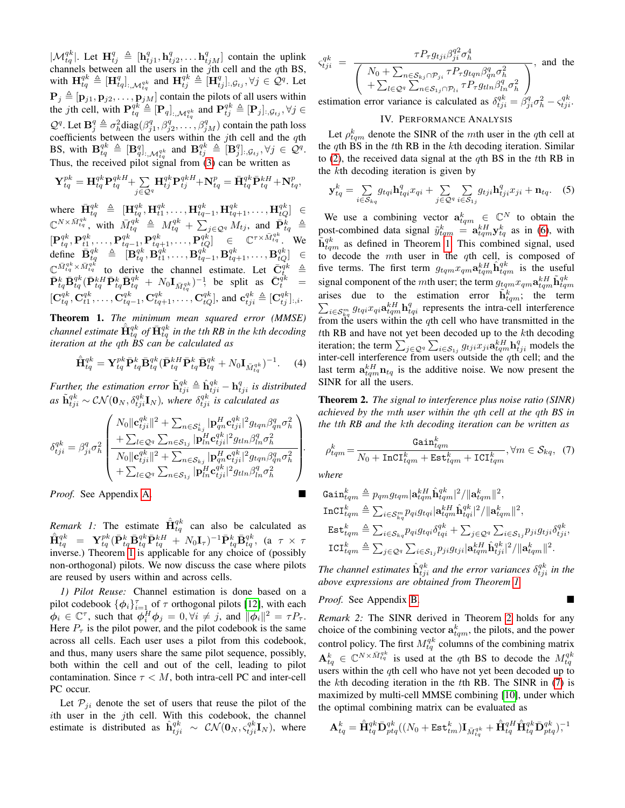$|\mathcal{M}_{tq}^{qk}|$ . Let  $\mathbf{H}_{tj}^q \triangleq [\mathbf{h}_{tj1}^q, \mathbf{h}_{tj2}^q, \dots \mathbf{h}_{tjM}^q]$  contain the uplink channels between all the users in the j<sup>th</sup> cell and the  $q$ th BS, with  $\mathbf{H}_{tq}^{qk} \triangleq [\mathbf{H}_{tq}^q]_{:, \mathcal{M}_{tq}^{qk}}$  and  $\mathbf{H}_{tj}^{qk} \triangleq [\mathbf{H}_{tj}^q]_{:, \mathcal{G}_{tj}}, \forall j \in \mathcal{Q}^q$ . Let  ${\bf P}_j \triangleq [{\bf p}_{j1}, {\bf p}_{j2}, \ldots, {\bf p}_{jM}]$  contain the pilots of all users within the jth cell, with  $\mathbf{P}_{tq}^{qk} \triangleq [\mathbf{P}_q]_{:, \mathcal{M}_{tq}^{qk}}$  and  $\mathbf{P}_{tj}^{qk} \triangleq [\mathbf{P}_j]_{:, \mathcal{G}_{tj}}, \forall j \in$  $\mathcal{Q}^q$ . Let  $\mathbf{B}_j^q \triangleq \sigma_h^2 \text{diag}(\beta_{j1}^q, \beta_{j2}^q, \ldots, \beta_{jM}^q)$  contain the path loss coefficients between the users within the jth cell and the  $q$ th BS, with  $\mathbf{B}_{tq}^{qk} \triangleq [\mathbf{B}_{q}^{q}]_{:, \mathcal{M}_{tq}^{qk}}$  and  $\mathbf{B}_{tj}^{qk} \triangleq [\mathbf{B}_{j}^{q}]_{:, \mathcal{G}_{tj}}, \forall j \in \mathcal{Q}^{q}$ . Thus, the received pilot signal from [\(3\)](#page-1-0) can be written as

$$
\mathbf{Y}_{tq}^{pk}=\mathbf{H}_{tq}^{qk}\mathbf{P}_{tq}^{qkH}+\sum_{j\in\mathcal{Q}^q}\mathbf{H}_{tj}^{qk}\mathbf{P}_{tj}^{qkH}+\mathbf{N}_{tq}^p=\bar{\mathbf{H}}_{tq}^{qk}\bar{\mathbf{P}}_{tq}^{kH}+\mathbf{N}_{tq}^p,
$$

where  $\bar{\mathbf{H}}_{tq}^{qk} \triangleq [\mathbf{H}_{tq}^{qk}, \mathbf{H}_{t1}^{qk}, \dots, \mathbf{H}_{tq-1}^{qk}, \mathbf{H}_{tq+1}^{qk}, \dots, \mathbf{H}_{tQ}^{qk}] \in$  $\mathbb{C}^{N\times \bar{M}^{qk}_{tq}},$  with  $\bar{M}^{q\bar{k}}_{tq}\ \triangleq\ M^{qk}_{tq}\ + \ \sum_{j\in\mathcal{Q}^q}M_{tj},$  and  $\bar{\mathbf{P}}^{\bar{k}}_{tq}\ \triangleq\ 1$  $[{\bf P}^{qk}_{tq}, {\bf P}^{qk}_{t1}, \ldots, {\bf P}^{qk}_{tq-1}, {\bf P}^{qk}_{tq+1}, \ldots, {\bf P}^{qk}_{tQ}] \quad \in \quad \mathbb{C}^{\tau \times \bar{M}^{qk}_{tq}}.$  We  $\text{define} \;\; \bar{\mathbf{B}}_{tq}^{qk} \;\; \triangleq \;\; \left[\mathbf{B}_{tq}^{qk}, \bar{\mathbf{B}}_{t1}^{{qk}}, \ldots, \mathbf{B}_{tq-1}^{{qk}}, \mathbf{B}_{tq+1}^{{qk}}, \ldots, \mathbf{B}_{tQ}^{{qk}} \right] \;\; \in$  $\mathbb{C}^{\bar{M}_{tq}^{qk} \times \bar{M}_{tq}^{qk}}$  to derive the channel estimate. Let  $\bar{\mathbf{C}}_{t_i}^{qk} \triangleq$  $\bar{\mathbf{P}}_{tq}^k \bar{\mathbf{B}}_{tq}^{qk} (\bar{\mathbf{P}}_{tq}^{kH} \bar{\mathbf{P}}_{tq}^k \bar{\mathbf{B}}_{tq}^{qk} ~+~ N_0 \mathbf{I}_{\bar{M}_{tq}^{qk}})^{-1}$ , be split as  $\bar{\mathbf{C}}_{t}^{\bar{q}k}$  =  $[\mathbf{C}_{tq}^{qk}, \mathbf{C}_{t1}^{qk}, \dots, \mathbf{C}_{tq-1}^{qk}, \mathbf{C}_{tq+1}^{qk}, \dots, \mathbf{C}_{tQ}^{qk}],$  and  $\mathbf{c}_{tji}^{qk} \triangleq [\mathbf{C}_{tj}^{qk}]_{:,i}$ .

<span id="page-2-0"></span>Theorem 1. *The minimum mean squared error (MMSE)*  $\hat{\Pi}^{ak}_{tq}$  of  $\tilde{\mathbf{H}}^{qk}_{tq}$  in the  $t$ th RB in the  $k$ th decoding *iteration at the* q*th BS can be calculated as*

$$
\hat{\mathbf{H}}_{tq}^{qk} = \mathbf{Y}_{tq}^{pk} \bar{\mathbf{P}}_{tq}^{k} \bar{\mathbf{B}}_{tq}^{qk} (\bar{\mathbf{P}}_{tq}^{kH} \bar{\mathbf{P}}_{tq}^{k} \bar{\mathbf{B}}_{tq}^{qk} + N_0 \mathbf{I}_{\bar{M}_{tq}^{qk}})^{-1}.
$$
 (4)

*Further, the estimation error*  $\tilde{\mathbf{h}}_{tji}^{qk} \triangleq \hat{\mathbf{h}}_{tji}^{qk} - \mathbf{h}_{tji}^{q}$  is distributed  $as \tilde{\mathbf{h}}_{tji}^{qk} \sim \mathcal{CN}(\mathbf{0}_N, \delta_{tji}^{qk} \mathbf{I}_N)$ *, where*  $\delta_{tji}^{qk}$  is calculated as

$$
\delta_{tji}^{qk} = \beta_{ji}^{q} \sigma_h^2 \begin{pmatrix} N_0 || \mathbf{c}_{tji}^{qk} ||^2 + \sum_{n \in \mathcal{S}_{kj}^i} |\mathbf{p}_{qn}^H \mathbf{c}_{tji}^{qk} |^2 g_{tqn} \beta_{qn}^q \sigma_h^2 \\ + \sum_{l \in \mathcal{Q}^q} \sum_{n \in \mathcal{S}_{1j}} |\mathbf{p}_{ln}^H \mathbf{c}_{tji}^{qk} |^2 g_{tln} \beta_{ln}^q \sigma_h^2 \\ N_0 || \mathbf{c}_{tji}^{qk} ||^2 + \sum_{n \in \mathcal{S}_{kj}} |\mathbf{p}_{qn}^H \mathbf{c}_{tji}^{qk} |^2 g_{tqn} \beta_{qn}^q \sigma_h^2 \\ + \sum_{l \in \mathcal{Q}^q} \sum_{n \in \mathcal{S}_{1j}} |\mathbf{p}_{ln}^H \mathbf{c}_{tji}^{qk} |^2 g_{tln} \beta_{ln}^q \sigma_h^2 \end{pmatrix}.
$$

*Proof.* See Appendix [A.](#page-5-12)

*Remark 1:* The estimate  $\hat{H}_{tq}^{qk}$  can also be calculated as  $\hat{\bar{\mathbf{H}}}^{qk}_{tq} \; = \; \; \mathbf{Y}^{pk}_{tq} ( \bar{\mathbf{P}}^k_{tq} \bar{\mathbf{B}}^{qk}_{tq} \bar{\mathbf{P}}^{kH}_{tq} \; + \; N_0 \mathbf{I}_\tau )^{-1} \bar{\mathbf{P}}^k_{tq} \bar{\mathbf{B}}^{qk}_{tq}, \; \; \text{(a} \; \; \tau \; \times \; \tau$ inverse.) Theorem [1](#page-2-0) is applicable for any choice of (possibly non-orthogonal) pilots. We now discuss the case where pilots are reused by users within and across cells.

*1) Pilot Reuse:* Channel estimation is done based on a pilot codebook  $\{\phi_i\}_{i=1}^{\tau}$  of  $\tau$  orthogonal pilots [\[12\]](#page-5-11), with each  $\phi_i \in \mathbb{C}^{\tau}$ , such that  $\phi_i^H \phi_j = 0, \forall i \neq j$ , and  $\|\phi_i\|^2 = \tau P_{\tau}$ . Here  $P_{\tau}$  is the pilot power, and the pilot codebook is the same across all cells. Each user uses a pilot from this codebook, and thus, many users share the same pilot sequence, possibly, both within the cell and out of the cell, leading to pilot contamination. Since  $\tau < M$ , both intra-cell PC and inter-cell PC occur.

Let  $\mathcal{P}_{ii}$  denote the set of users that reuse the pilot of the ith user in the jth cell. With this codebook, the channel estimate is distributed as  $\hat{\mathbf{h}}_{tji}^{qk} \sim \mathcal{CN}(\mathbf{0}_N, \varsigma_{tji}^{qk} \mathbf{I}_N)$ , where

$$
\varsigma_{tji}^{qk} = \frac{\tau P_{\tau} g_{tji} \beta_{ji}^{q2} \sigma_h^4}{\left( \begin{array}{c} N_0 + \sum_{n \in \mathcal{S}_{kj} \cap \mathcal{P}_{ji}} \tau P_{\tau} g_{tqn} \beta_{qn}^q \sigma_h^2 \\ + \sum_{l \in \mathcal{Q}^q} \sum_{n \in \mathcal{S}_{1j} \cap \mathcal{P}_{li}} \tau P_{\tau} g_{tln} \beta_{ln}^q \sigma_h^2 \end{array} \right)}, \text{ and the}
$$

estimation error variance is calculated as  $\delta_{tji}^{qk} = \beta_{ji}^q \sigma_h^2 - \varsigma$  $_{tji}^{qk}.$ 

## IV. PERFORMANCE ANALYSIS

Let  $\rho_{tqm}^k$  denote the SINR of the mth user in the qth cell at the qth  $\overrightarrow{BS}$  in the tth RB in the kth decoding iteration. Similar to  $(2)$ , the received data signal at the qth BS in the tth RB in the kth decoding iteration is given by

$$
\mathbf{y}_{tq}^k = \sum_{i \in \mathcal{S}_{kq}} g_{tqi} \mathbf{h}_{tqi}^q x_{qi} + \sum_{j \in \mathcal{Q}^q} \sum_{i \in \mathcal{S}_{1j}} g_{tji} \mathbf{h}_{tji}^q x_{ji} + \mathbf{n}_{tq}.
$$
 (5)

We use a combining vector  $\mathbf{a}_{tqm}^k \in \mathbb{C}^N$  to obtain the post-combined data signal  $\tilde{y}^k_{tqm} = \mathbf{a}^{kH}_{tqm}\mathbf{y}^k_{tq}$  as in [\(6\)](#page-3-0), with  $\tilde{\mathbf{h}}_{tqm}^{qk}$  as defined in Theorem [1.](#page-2-0) This combined signal, used to decode the  $m$ th user in the  $q$ th cell, is composed of five terms. The first term  $g_{tqm}x_{qm}$   $\hat{\mathbf{h}}_{tqm}^{qk}$  is the useful signal component of the mth user; the term  $g_{tqm} x_{qm} \mathbf{a}_{tqm}^{kH} \tilde{\mathbf{h}}_{tqm}^{qk}$ arises due to the estimation error  $\tilde{\mathbf{h}}_{tqm}^k$ ; the term  $\sum_{i \in S_{kq}^m} g_{tqi} x_{qi} \mathbf{a}_{tqm}^{kH} \mathbf{h}_{tqi}^q$  represents the intra-cell interference from the users within the  $q$ th cell who have transmitted in the tth RB and have not yet been decoded up to the kth decoding iteration; the term  $\sum_{j \in \mathcal{Q}^q} \sum_{i \in \mathcal{S}_{1j}} g_{tji} x_{ji} a_{tqm}^{kH} h_{tji}^q$  models the inter-cell interference from users outside the qth cell; and the last term  $\mathbf{a}_{tqm}^{kH} \mathbf{n}_{tq}$  is the additive noise. We now present the SINR for all the users.

<span id="page-2-1"></span>Theorem 2. *The signal to interference plus noise ratio (SINR) achieved by the* m*th user within the* q*th cell at the* q*th BS in the* t*th RB and the* k*th decoding iteration can be written as*

<span id="page-2-2"></span>
$$
\rho_{tqm}^k = \frac{\text{Gain}_{tqm}^k}{N_0 + \text{InCI}_{tqm}^k + \text{Est}_{tqm}^k + \text{ICI}_{tqm}^k}, \forall m \in \mathcal{S}_{kq}, \tag{7}
$$

*where*

$$
\begin{aligned} &\texttt{Gain}^k_{tqm} \triangleq p_{qm}g_{tqm}|\mathbf{a}^{kH}_{tqm}\hat{\mathbf{h}}^{qk}_{tqm}|^2/ \|\mathbf{a}^k_{tqm}\|^2, \\ &\texttt{IncI}^k_{tqm} \triangleq \sum_{i \in \mathcal{S}^m_{kq}} p_{qi}g_{tqi}|\mathbf{a}^{kH}_{tqm}\hat{\mathbf{h}}^{qk}_{tqi}|^2/ \|\mathbf{a}^k_{tqm}\|^2, \\ &\texttt{Est}^k_{tqm} \triangleq \sum_{i \in \mathcal{S}_{kq}} p_{qi}g_{tqi}\delta^{qk}_{tqi} + \sum_{j \in \mathcal{Q}^q}\sum_{i \in \mathcal{S}_{1j}} p_{ji}g_{tji}\delta^{qk}_{tji}, \\ &\texttt{ICI}^k_{tqm} \triangleq \sum_{j \in \mathcal{Q}^q}\sum_{i \in \mathcal{S}_{1j}} p_{ji}g_{tji}|\mathbf{a}^{kH}_{tqm}\hat{\mathbf{h}}^{qk}_{tji}|^2/\|\mathbf{a}^k_{tqm}\|^2. \end{aligned}
$$

The channel estimates  $\hat{\mathbf{h}}_{tji}^{qk}$  and the error variances  $\delta_{tji}^{qk}$  in the *above expressions are obtained from Theorem [1.](#page-2-0)*

*Proof.* See Appendix [B.](#page-5-13)

*Remark 2:* The SINR derived in Theorem [2](#page-2-1) holds for any choice of the combining vector  $a_{tqm}^k$ , the pilots, and the power control policy. The first  $M_{tq}^{qk}$  columns of the combining matrix  $\mathbf{A}_{tq}^{k} \in \mathbb{C}^{N \times \bar{M}_{tq}^{qk}}$  is used at the qth BS to decode the  $M_{tq}^{qk}$ users within the qth cell who have not yet been decoded up to the kth decoding iteration in the tth RB. The SINR in [\(7\)](#page-2-2) is maximized by multi-cell MMSE combining [\[10\]](#page-5-9), under which the optimal combining matrix can be evaluated as

$$
\mathbf{A}_{tq}^{k}=\hat{\mathbf{H}}_{tq}^{qk}\bar{\mathbf{D}}_{ptq}^{qk}((N_{0}+\mathtt{Est}_{tm}^{k})\mathbf{I}_{\bar{M}_{tq}^{qk}}+\hat{\mathbf{H}}_{tq}^{qH}\hat{\mathbf{H}}_{tq}^{qk}\bar{\mathbf{D}}_{ptq}^{qk})^{-1}
$$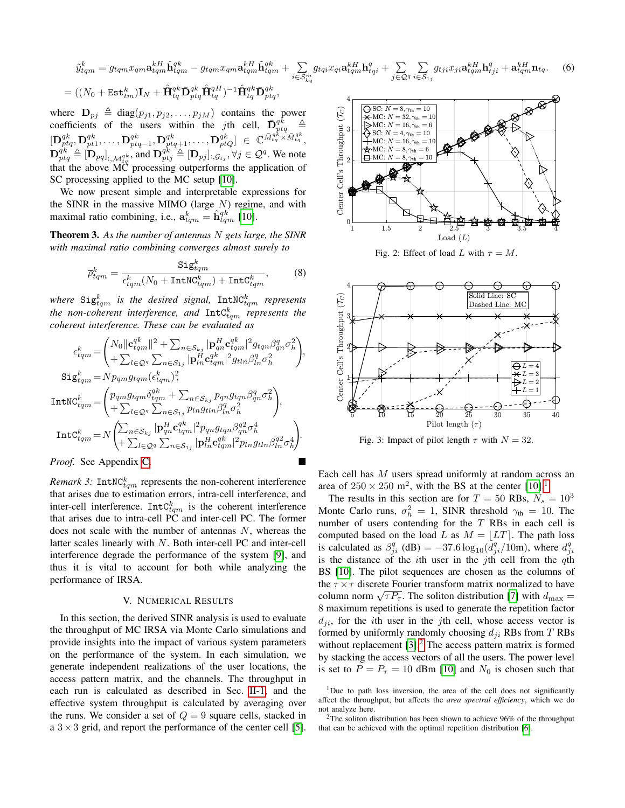$$
\tilde{y}_{tqm}^k = g_{tqm}x_{qm}\mathbf{a}_{tqm}^{kH}\mathbf{\hat{h}}_{tqm}^{qk} - g_{tqm}x_{qm}\mathbf{a}_{tqm}^{kH}\mathbf{\tilde{h}}_{tqm}^{qk} + \sum_{i \in S_{kq}^m} g_{tqi}x_{qi}\mathbf{a}_{tqm}^{kH}\mathbf{h}_{tqi}^{q} + \sum_{j \in \mathcal{Q}^q}\sum_{i \in S_{1j}} g_{tji}x_{ji}\mathbf{a}_{tqm}^{kH}\mathbf{h}_{tji}^{q} + \mathbf{a}_{tqm}^{kH}\mathbf{n}_{tq}.
$$
\n
$$
= ((N_0 + \text{Est}_{tm}^k)\mathbf{I}_N + \hat{\mathbf{H}}_{tq}^{qk}\bar{\mathbf{D}}_{ptq}^{qk}\hat{\mathbf{H}}_{tq}^{qH})^{-1}\hat{\mathbf{H}}_{tq}^{qk}\bar{\mathbf{D}}_{ptq}^{qk},
$$

where  $\mathbf{D}_{pj} \triangleq \text{diag}(p_{j1}, p_{j2}, \dots, p_{jM})$  contains the power coefficients of the users within the jth cell,  $\bar{\mathbf{D}}_{ptq}^{qk}$  $\begin{array}{cc} qk & \triangleq \\ ptq & \end{array}$  $[\mathbf{D}^{qk}_{ptq},\mathbf{D}^{qk}_{pt1},\ldots,\mathbf{D}^{qk}_{ptq-1},\mathbf{D}^{qk}_{ptq+1},\ldots,\mathbf{D}^{qk}_{ptQ}]\ \in \ \mathbb{C}^{\bar{M}^{qk}_{tq} \times \bar{M}^{qk}_{tq}},$  $\mathbf{D}_{ptq}^{qk} \triangleq [\mathbf{D}_{pq}]_{:, \mathcal{M}_{tq}^{qk}}$ , and  $\mathbf{D}_{ptj}^{qk} \triangleq [\mathbf{D}_{pj}]_{:, \mathcal{G}_{tj}}, \forall j \in \mathcal{Q}^q$ . We note that the above MC processing outperforms the application of SC processing applied to the MC setup [\[10\]](#page-5-9).

We now present simple and interpretable expressions for the SINR in the massive MIMO (large  $N$ ) regime, and with maximal ratio combining, i.e.,  $\mathbf{a}_{tqm}^k = \hat{\mathbf{h}}_{tqm}^{qk}$  [\[10\]](#page-5-9).

<span id="page-3-5"></span>Theorem 3. *As the number of antennas* N *gets large, the SINR with maximal ratio combining converges almost surely to*

$$
\overline{\rho}_{tqm}^k = \frac{\text{Sig}_{tqm}^k}{\epsilon_{tqm}^k (N_0 + \text{IntN} \mathbf{C}_{tqm}^k) + \text{IntN} \mathbf{C}_{tqm}^k},\tag{8}
$$

where  $\texttt{Sig}^k_{tqm}$  is the desired signal,  $\texttt{IntNC}^k_{tqm}$  represents the non-coherent interference, and  $\texttt{IntC}_{tqm}^k$  represents the *coherent interference. These can be evaluated as*

$$
\epsilon_{tqm}^{k} = \begin{pmatrix} N_0 ||\mathbf{c}_{tqm}^{qk}||^2 + \sum_{n \in \mathcal{S}_{kj}} |\mathbf{p}_m^H \mathbf{c}_{tqm}^{qk} |^2 g_{tqn} \beta_{qn}^q \sigma_h^2 \\ + \sum_{l \in \mathcal{Q}^q} \sum_{n \in \mathcal{S}_{1j}} |\mathbf{p}_m^H \mathbf{c}_{tqm}^{qk} |^2 g_{tln} \beta_{ln}^q \sigma_h^2 \end{pmatrix},
$$
\n
$$
\text{Sig}_{tqm}^{k} = N p_{qm} g_{tqm} (\epsilon_{tqm}^k)^2,
$$
\n
$$
\text{IntNC}_{tqm}^{k} = \begin{pmatrix} p_{qm} g_{tqm} \delta_{tqm}^{qk} + \sum_{n \in \mathcal{S}_{kj}} p_{qn} g_{tqn} \beta_{qn}^q \sigma_h^2 \\ + \sum_{l \in \mathcal{Q}^q} \sum_{n \in \mathcal{S}_{1j}} p_{ln} g_{tln} \beta_{ln}^q \sigma_h^2 \end{pmatrix},
$$
\n
$$
\text{IntC}_{tqm}^{k} = N \begin{pmatrix} \sum_{n \in \mathcal{S}_{kj}} |\mathbf{p}_m^H \mathbf{c}_{tqm}^{qk} |^2 p_{qn} g_{tqn} \beta_{qn}^{q2} \sigma_h^4 \\ + \sum_{l \in \mathcal{Q}^q} \sum_{n \in \mathcal{S}_{1j}} |\mathbf{p}_m^H \mathbf{c}_{tqm}^{qk} |^2 p_{ln} g_{tln} \beta_{ln}^{q2} \sigma_h^4 \end{pmatrix}.
$$

*Proof.* See Appendix [C.](#page-6-0)

*Remark 3:* Int $NC_{tqm}^k$  represents the non-coherent interference that arises due to estimation errors, intra-cell interference, and inter-cell interference. Int $C_{tqm}^k$  is the coherent interference that arises due to intra-cell PC and inter-cell PC. The former does not scale with the number of antennas  $N$ , whereas the latter scales linearly with N. Both inter-cell PC and inter-cell interference degrade the performance of the system [\[9\]](#page-5-8), and thus it is vital to account for both while analyzing the performance of IRSA.

# V. NUMERICAL RESULTS

In this section, the derived SINR analysis is used to evaluate the throughput of MC IRSA via Monte Carlo simulations and provide insights into the impact of various system parameters on the performance of the system. In each simulation, we generate independent realizations of the user locations, the access pattern matrix, and the channels. The throughput in each run is calculated as described in Sec. [II-1,](#page-1-2) and the effective system throughput is calculated by averaging over the runs. We consider a set of  $Q = 9$  square cells, stacked in a  $3 \times 3$  grid, and report the performance of the center cell [\[5\]](#page-5-4).

<span id="page-3-3"></span><span id="page-3-0"></span>

Fig. 2: Effect of load L with  $\tau = M$ .

<span id="page-3-4"></span>

Fig. 3: Impact of pilot length  $\tau$  with  $N = 32$ .

Each cell has  $M$  users spread uniformly at random across an area of  $250 \times 250$  m<sup>2</sup>, with the BS at the center [\[10\]](#page-5-9).<sup>[1](#page-3-1)</sup>

The results in this section are for  $T = 50$  RBs,  $N_s = 10^3$ Monte Carlo runs,  $\sigma_h^2 = 1$ , SINR threshold  $\gamma_{\text{th}} = 10$ . The number of users contending for the  $T$  RBs in each cell is computed based on the load L as  $M = \lfloor LT \rfloor$ . The path loss is calculated as  $\beta_{ji}^q$  (dB) = -37.6 log<sub>10</sub>( $d_{ji}^q$ /10m), where  $d_{ji}^q$ is the distance of the *i*th user in the *j*th cell from the  $q$ th BS [\[10\]](#page-5-9). The pilot sequences are chosen as the columns of the  $\tau \times \tau$  discrete Fourier transform matrix normalized to have the  $\tau \times \tau$  discrete Fourier transform matrix normalized to have<br>column norm  $\sqrt{\tau P_{\tau}}$ . The soliton distribution [\[7\]](#page-5-6) with  $d_{\text{max}} =$ 8 maximum repetitions is used to generate the repetition factor  $d_{ji}$ , for the *i*th user in the *j*th cell, whose access vector is formed by uniformly randomly choosing  $d_{ii}$  RBs from T RBs without replacement  $[3]$ .<sup>[2](#page-3-2)</sup> The access pattern matrix is formed by stacking the access vectors of all the users. The power level is set to  $P = P<sub>\tau</sub> = 10$  dBm [\[10\]](#page-5-9) and  $N<sub>0</sub>$  is chosen such that

<span id="page-3-1"></span><sup>&</sup>lt;sup>1</sup>Due to path loss inversion, the area of the cell does not significantly affect the throughput, but affects the *area spectral efficiency*, which we do not analyze here.

<span id="page-3-2"></span><sup>&</sup>lt;sup>2</sup>The soliton distribution has been shown to achieve  $96\%$  of the throughput that can be achieved with the optimal repetition distribution [\[6\]](#page-5-5).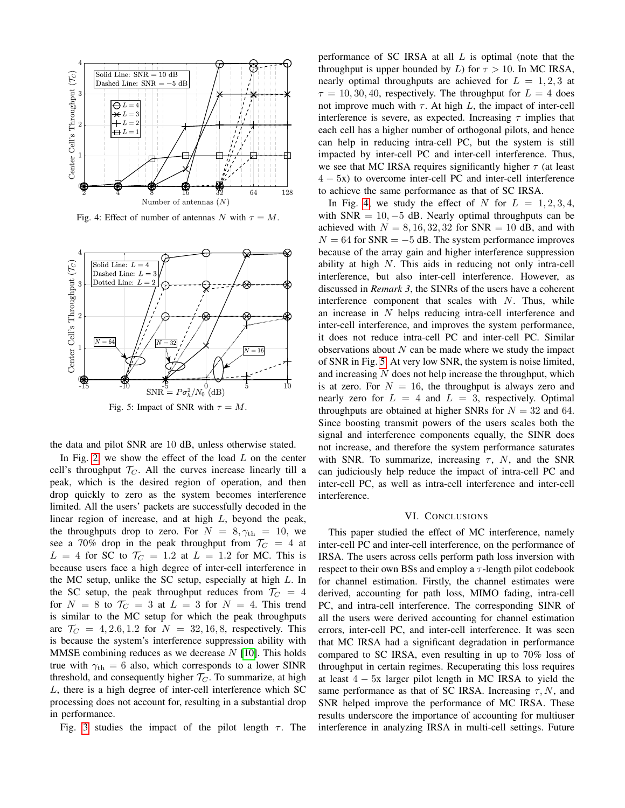<span id="page-4-0"></span>

Fig. 4: Effect of number of antennas N with  $\tau = M$ .

<span id="page-4-1"></span>

Fig. 5: Impact of SNR with  $\tau = M$ .

the data and pilot SNR are 10 dB, unless otherwise stated.

In Fig. [2,](#page-3-3) we show the effect of the load  $L$  on the center cell's throughput  $\mathcal{T}_C$ . All the curves increase linearly till a peak, which is the desired region of operation, and then drop quickly to zero as the system becomes interference limited. All the users' packets are successfully decoded in the linear region of increase, and at high L, beyond the peak, the throughputs drop to zero. For  $N = 8, \gamma_{\text{th}} = 10$ , we see a 70% drop in the peak throughput from  $T_C = 4$  at  $L = 4$  for SC to  $T_C = 1.2$  at  $L = 1.2$  for MC. This is because users face a high degree of inter-cell interference in the MC setup, unlike the SC setup, especially at high  $L$ . In the SC setup, the peak throughput reduces from  $\mathcal{T}_C = 4$ for  $N = 8$  to  $T_C = 3$  at  $L = 3$  for  $N = 4$ . This trend is similar to the MC setup for which the peak throughputs are  $\mathcal{T}_C = 4, 2.6, 1.2$  for  $N = 32, 16, 8$ , respectively. This is because the system's interference suppression ability with MMSE combining reduces as we decrease  $N$  [\[10\]](#page-5-9). This holds true with  $\gamma_{\text{th}} = 6$  also, which corresponds to a lower SINR threshold, and consequently higher  $\mathcal{T}_C$ . To summarize, at high L, there is a high degree of inter-cell interference which SC processing does not account for, resulting in a substantial drop in performance.

Fig. [3](#page-3-4) studies the impact of the pilot length  $\tau$ . The

performance of SC IRSA at all  $L$  is optimal (note that the throughput is upper bounded by L) for  $\tau > 10$ . In MC IRSA, nearly optimal throughputs are achieved for  $L = 1, 2, 3$  at  $\tau = 10, 30, 40$ , respectively. The throughput for  $L = 4$  does not improve much with  $\tau$ . At high L, the impact of inter-cell interference is severe, as expected. Increasing  $\tau$  implies that each cell has a higher number of orthogonal pilots, and hence can help in reducing intra-cell PC, but the system is still impacted by inter-cell PC and inter-cell interference. Thus, we see that MC IRSA requires significantly higher  $\tau$  (at least 4 − 5x) to overcome inter-cell PC and inter-cell interference to achieve the same performance as that of SC IRSA.

In Fig. [4,](#page-4-0) we study the effect of N for  $L = 1, 2, 3, 4$ , with  $SNR = 10, -5$  dB. Nearly optimal throughputs can be achieved with  $N = 8, 16, 32, 32$  for SNR = 10 dB, and with  $N = 64$  for SNR =  $-5$  dB. The system performance improves because of the array gain and higher interference suppression ability at high  $N$ . This aids in reducing not only intra-cell interference, but also inter-cell interference. However, as discussed in *Remark 3*, the SINRs of the users have a coherent interference component that scales with N. Thus, while an increase in N helps reducing intra-cell interference and inter-cell interference, and improves the system performance, it does not reduce intra-cell PC and inter-cell PC. Similar observations about  $N$  can be made where we study the impact of SNR in Fig. [5.](#page-4-1) At very low SNR, the system is noise limited, and increasing  $N$  does not help increase the throughput, which is at zero. For  $N = 16$ , the throughput is always zero and nearly zero for  $L = 4$  and  $L = 3$ , respectively. Optimal throughputs are obtained at higher SNRs for  $N = 32$  and 64. Since boosting transmit powers of the users scales both the signal and interference components equally, the SINR does not increase, and therefore the system performance saturates with SNR. To summarize, increasing  $\tau$ , N, and the SNR can judiciously help reduce the impact of intra-cell PC and inter-cell PC, as well as intra-cell interference and inter-cell interference.

### VI. CONCLUSIONS

This paper studied the effect of MC interference, namely inter-cell PC and inter-cell interference, on the performance of IRSA. The users across cells perform path loss inversion with respect to their own BSs and employ a  $\tau$ -length pilot codebook for channel estimation. Firstly, the channel estimates were derived, accounting for path loss, MIMO fading, intra-cell PC, and intra-cell interference. The corresponding SINR of all the users were derived accounting for channel estimation errors, inter-cell PC, and inter-cell interference. It was seen that MC IRSA had a significant degradation in performance compared to SC IRSA, even resulting in up to 70% loss of throughput in certain regimes. Recuperating this loss requires at least  $4 - 5x$  larger pilot length in MC IRSA to yield the same performance as that of SC IRSA. Increasing  $\tau$ , N, and SNR helped improve the performance of MC IRSA. These results underscore the importance of accounting for multiuser interference in analyzing IRSA in multi-cell settings. Future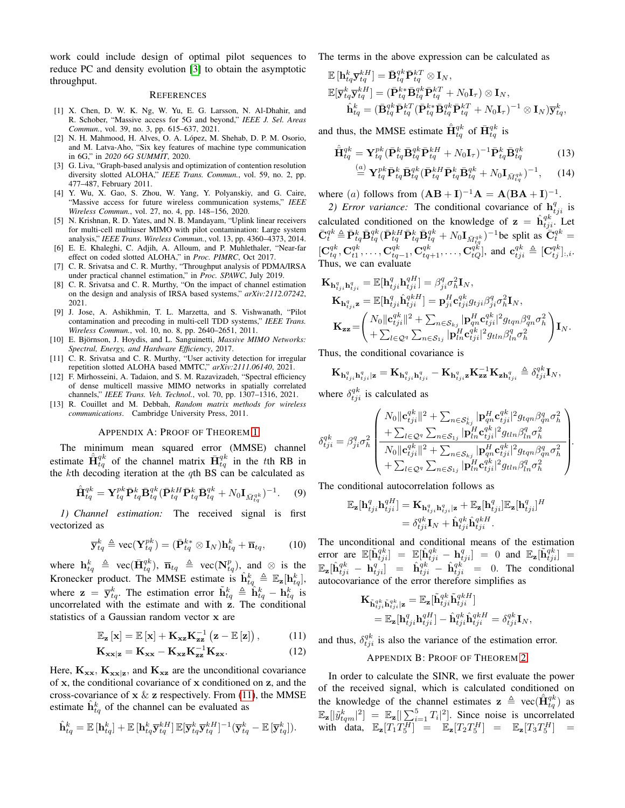work could include design of optimal pilot sequences to reduce PC and density evolution [\[3\]](#page-5-2) to obtain the asymptotic throughput.

#### **REFERENCES**

- <span id="page-5-0"></span>[1] X. Chen, D. W. K. Ng, W. Yu, E. G. Larsson, N. Al-Dhahir, and R. Schober, "Massive access for 5G and beyond," *IEEE J. Sel. Areas Commun.*, vol. 39, no. 3, pp. 615–637, 2021.
- <span id="page-5-1"></span>[2] N. H. Mahmood, H. Alves, O. A. López, M. Shehab, D. P. M. Osorio, and M. Latva-Aho, "Six key features of machine type communication in 6G," in *2020 6G SUMMIT*, 2020.
- <span id="page-5-2"></span>[3] G. Liva, "Graph-based analysis and optimization of contention resolution diversity slotted ALOHA," *IEEE Trans. Commun.*, vol. 59, no. 2, pp. 477–487, February 2011.
- <span id="page-5-3"></span>[4] Y. Wu, X. Gao, S. Zhou, W. Yang, Y. Polyanskiy, and G. Caire, "Massive access for future wireless communication systems," *IEEE Wireless Commun.*, vol. 27, no. 4, pp. 148–156, 2020.
- <span id="page-5-4"></span>[5] N. Krishnan, R. D. Yates, and N. B. Mandayam, "Uplink linear receivers for multi-cell multiuser MIMO with pilot contamination: Large system analysis," *IEEE Trans. Wireless Commun.*, vol. 13, pp. 4360–4373, 2014.
- <span id="page-5-5"></span>[6] E. E. Khaleghi, C. Adjih, A. Alloum, and P. Muhlethaler, "Near-far effect on coded slotted ALOHA," in *Proc. PIMRC*, Oct 2017.
- <span id="page-5-6"></span>[7] C. R. Srivatsa and C. R. Murthy, "Throughput analysis of PDMA/IRSA under practical channel estimation," in *Proc. SPAWC*, July 2019.
- <span id="page-5-7"></span>[8] C. R. Srivatsa and C. R. Murthy, "On the impact of channel estimation on the design and analysis of IRSA based systems," *arXiv:2112.07242*, 2021.
- <span id="page-5-8"></span>[9] J. Jose, A. Ashikhmin, T. L. Marzetta, and S. Vishwanath, "Pilot contamination and precoding in multi-cell TDD systems," *IEEE Trans. Wireless Commun.*, vol. 10, no. 8, pp. 2640–2651, 2011.
- <span id="page-5-9"></span>[10] E. Björnson, J. Hoydis, and L. Sanguinetti, *Massive MIMO Networks: Spectral, Energy, and Hardware Efficiency*, 2017.
- <span id="page-5-10"></span>[11] C. R. Srivatsa and C. R. Murthy, "User activity detection for irregular repetition slotted ALOHA based MMTC," *arXiv:2111.06140*, 2021.
- <span id="page-5-11"></span>[12] F. Mirhosseini, A. Tadaion, and S. M. Razavizadeh, "Spectral efficiency of dense multicell massive MIMO networks in spatially correlated channels," *IEEE Trans. Veh. Technol.*, vol. 70, pp. 1307–1316, 2021.
- <span id="page-5-15"></span>[13] R. Couillet and M. Debbah, *Random matrix methods for wireless communications*. Cambridge University Press, 2011.

#### <span id="page-5-12"></span>APPENDIX A: PROOF OF THEOREM [1](#page-2-0)

The minimum mean squared error (MMSE) channel estimate  $\hat{\mathbf{H}}_{tq}^{qk}$  of the channel matrix  $\bar{\mathbf{H}}_{tq}^{qk}$  in the tth RB in the kth decoding iteration at the  $q$ th BS can be calculated as

$$
\hat{\mathbf{H}}_{tq}^{qk} = \mathbf{Y}_{tq}^{pk} \bar{\mathbf{P}}_{tq}^{k} \bar{\mathbf{B}}_{tq}^{qk} (\bar{\mathbf{P}}_{tq}^{kH} \bar{\mathbf{P}}_{tq}^{k} \bar{\mathbf{B}}_{tq}^{qk} + N_0 \mathbf{I}_{\bar{M}_{tq}^{qk}})^{-1}.
$$
 (9)

*1) Channel estimation:* The received signal is first vectorized as

$$
\overline{\mathbf{y}}_{tq}^{k} \triangleq \text{vec}(\mathbf{Y}_{tq}^{pk}) = (\overline{\mathbf{P}}_{tq}^{k*} \otimes \mathbf{I}_{N})\mathbf{h}_{tq}^{k} + \overline{\mathbf{n}}_{tq}, \qquad (10)
$$

where  $\mathbf{h}_{tq}^k \triangleq \text{vec}(\bar{\mathbf{H}}_{tq}^{qk}), \ \bar{\mathbf{n}}_{tq} \triangleq \text{vec}(\mathbf{N}_{tq}^p)$ , and  $\otimes$  is the Kronecker product. The MMSE estimate is  $\hat{\mathbf{h}}_{tq}^{k} \triangleq \mathbb{E}_{\mathbf{z}}[\mathbf{h}_{tq}^{k}],$ where  $\mathbf{z} = \overline{\mathbf{y}}_{tq}^k$ . The estimation error  $\tilde{\mathbf{h}}_{tq}^k \triangleq \hat{\mathbf{h}}_{tq}^k - \mathbf{h}_{tq}^k$  is uncorrelated with the estimate and with z. The conditional statistics of a Gaussian random vector x are

$$
\mathbb{E}_{\mathbf{z}}\left[\mathbf{x}\right] = \mathbb{E}\left[\mathbf{x}\right] + \mathbf{K}_{\mathbf{x}\mathbf{z}}\mathbf{K}_{\mathbf{z}\mathbf{z}}^{-1}\left(\mathbf{z} - \mathbb{E}\left[\mathbf{z}\right]\right),\tag{11}
$$

$$
\mathbf{K}_{\mathbf{xx}|\mathbf{z}} = \mathbf{K}_{\mathbf{xx}} - \mathbf{K}_{\mathbf{xz}} \mathbf{K}_{\mathbf{zz}}^{-1} \mathbf{K}_{\mathbf{zx}}.
$$
 (12)

Here,  $K_{xx}$ ,  $K_{xx|z}$ , and  $K_{xz}$  are the unconditional covariance of x, the conditional covariance of x conditioned on z, and the cross-covariance of  $x \& z$  respectively. From [\(11\)](#page-5-14), the MMSE estimate  $\hat{\mathbf{h}}_{tq}^{k}$  of the channel can be evaluated as

$$
\hat{\mathbf{h}}_{tq}^k = \mathbb{E} \left[ \mathbf{h}_{tq}^k \right] + \mathbb{E} \left[ \mathbf{h}_{tq}^k \overline{\mathbf{y}}_{tq}^{kH} \right] \mathbb{E} [\overline{\mathbf{y}}_{tq}^k \overline{\mathbf{y}}_{tq}^{kH}]^{-1} (\overline{\mathbf{y}}_{tq}^k - \mathbb{E} \left[ \overline{\mathbf{y}}_{tq}^k \right]).
$$

The terms in the above expression can be calculated as

$$
\mathbb{E}\left[\mathbf{h}_{tq}^{k}\overline{\mathbf{y}}_{tq}^{kH}\right] = \bar{\mathbf{B}}_{tq}^{qk}\bar{\mathbf{P}}_{tq}^{kT} \otimes \mathbf{I}_{N}, \mathbb{E}[\overline{\mathbf{y}}_{tq}^{k}\overline{\mathbf{y}}_{tq}^{kH}] = (\bar{\mathbf{P}}_{tq}^{k*}\bar{\mathbf{B}}_{tq}^{qk}\bar{\mathbf{P}}_{tq}^{kT} + N_{0}\mathbf{I}_{\tau}) \otimes \mathbf{I}_{N}, \hat{\mathbf{h}}_{tq}^{k} = (\bar{\mathbf{B}}_{tq}^{qk}\bar{\mathbf{P}}_{tq}^{kT} (\bar{\mathbf{P}}_{tq}^{k*}\bar{\mathbf{B}}_{tq}^{qk}\bar{\mathbf{P}}_{tq}^{kT} + N_{0}\mathbf{I}_{\tau})^{-1} \otimes \mathbf{I}_{N})\overline{\mathbf{y}}_{tq}^{k},
$$

and thus, the MMSE estimate  $\hat{\mathbf{H}}_{tq}^{qk}$  of  $\bar{\mathbf{H}}_{tq}^{qk}$  is

kH

$$
\hat{\mathbf{H}}_{tq}^{qk} = \mathbf{Y}_{tq}^{pk} (\bar{\mathbf{P}}_{tq}^{k} \bar{\mathbf{B}}_{tq}^{qk} \bar{\mathbf{P}}_{tq}^{kH} + N_0 \mathbf{I}_{\tau})^{-1} \bar{\mathbf{P}}_{tq}^{k} \bar{\mathbf{B}}_{tq}^{qk} \tag{13}
$$
\n
$$
\stackrel{(a)}{=} \mathbf{Y}_{tq}^{pk} \bar{\mathbf{P}}_{tq}^{k} \bar{\mathbf{B}}_{tq}^{qk} (\bar{\mathbf{P}}_{tq}^{kH} \bar{\mathbf{P}}_{tq}^{k} \bar{\mathbf{B}}_{tq}^{qk} + N_0 \mathbf{I}_{\bar{M}_{tq}^{qk}})^{-1}, \tag{14}
$$

where (a) follows from  $(AB + I)^{-1}A = A(BA + I)^{-1}$ .

2) *Error variance:* The conditional covariance of  $h_{tji}^q$  is calculated conditioned on the knowledge of  $z = \hat{h}^{qk}_{tji}$ . Let  $\bar{\mathbf{C}}_t^{qk} \triangleq \bar{\mathbf{P}}_{tq}^k \bar{\mathbf{B}}_{tq}^{qk} (\bar{\mathbf{P}}_{tq}^{kH} \bar{\mathbf{P}}_{tq}^k \bar{\mathbf{B}}_{tq}^{qk} + N_0 \mathbf{I}_{\bar{M}_{tq}^{qk}})^{-1}$ be split as  $\bar{\mathbf{C}}_t^{qk} =$  $[\mathbf{C}_{tq}^{qk}, \mathbf{C}_{t1}^{qk}, \dots, \mathbf{C}_{tq-1}^{qk}, \mathbf{C}_{tq+1}^{qk}, \dots, \mathbf{C}_{tQ}^{qk}],$  and  $\mathbf{c}_{tji}^{qk} \triangleq [\mathbf{C}_{tj}^{qk}]_{:,i}.$ Thus, we can evaluate

$$
\begin{aligned} \mathbf{K}_{\mathbf{h}_{tji}^q\mathbf{h}_{tji}^q} &= \mathbb{E}[\mathbf{h}_{tji}^q\mathbf{h}_{tji}^{qH}] = \beta_{ji}^q \sigma_h^2 \mathbf{I}_N, \\ \mathbf{K}_{\mathbf{h}_{tji}^q\mathbf{z}} &= \mathbb{E}[\mathbf{h}_{tji}^q\hat{\mathbf{h}}_{tji}^{qH}] = \mathbf{p}_{ji}^H \mathbf{c}_{tji}^{qk} g_{tji} \beta_{ji}^q \sigma_h^2 \mathbf{I}_N, \\ \mathbf{K}_{\mathbf{z}\mathbf{z}} &= \begin{pmatrix} N_0 ||\mathbf{c}_{tji}^{qk}||^2 + \sum_{n \in \mathcal{S}_{kj}} |\mathbf{p}_{qn}^H \mathbf{c}_{tji}^{qk}|^2 g_{tqn} \beta_{qn}^q \sigma_h^2 \\ + \sum_{l \in \mathcal{Q}^q} \sum_{n \in \mathcal{S}_{1j}} |\mathbf{p}_{ln}^H \mathbf{c}_{tji}^{qk}|^2 g_{tln} \beta_{ln}^q \sigma_h^2 \end{pmatrix} \mathbf{I}_N. \end{aligned}
$$

Thus, the conditional covariance is

$$
\mathbf{K}_{\mathbf{h}_{tji}^q\mathbf{h}_{tji}^q|\mathbf{z}} = \mathbf{K}_{\mathbf{h}_{tji}^q\mathbf{h}_{tji}^q} - \mathbf{K}_{\mathbf{h}_{tji}^q\mathbf{z}} \mathbf{K}_{\mathbf{z}\mathbf{z}}^{-1} \mathbf{K}_{\mathbf{z}\mathbf{h}_{tji}^q} \triangleq \delta_{tji}^{qk} \mathbf{I}_N,
$$

where  $\delta_{tji}^{qk}$  is calculated as

$$
\delta_{tji}^{qk} = \beta_{ji}^{q} \sigma_h^2 \left( \frac{N_0 ||\mathbf{c}_{tji}^{qk}||^2 + \sum_{n \in S_{kj}^i} |\mathbf{p}_{qn}^H \mathbf{c}_{tji}^{qk}|^2 g_{tqn} \beta_{qn}^q \sigma_h^2}{N_0 ||\mathbf{c}_{tji}^{qk}||^2 + \sum_{n \in S_{kj}} |\mathbf{p}_{ln}^H \mathbf{c}_{tji}^{qk}|^2 g_{tln} \beta_{ln}^q \sigma_h^2}{|\mathbf{b}_{n}^H \mathbf{c}_{tji}^{qk}|^2 + \sum_{n \in S_{kj}} |\mathbf{p}_{qn}^H \mathbf{c}_{tji}^{qk}|^2 g_{tqn} \beta_{qn}^q \sigma_h^2}{+\sum_{l \in \mathcal{Q}^q} \sum_{n \in S_{1j}} |\mathbf{p}_{ln}^H \mathbf{c}_{tji}^{qk}|^2 g_{tln} \beta_{ln}^q \sigma_h^2} \right)
$$

.

The conditional autocorrelation follows as

$$
\begin{aligned} \mathbb{E}_{\mathbf{z}}[\mathbf{h}_{tji}^q\mathbf{h}_{tji}^{qH}] &= \mathbf{K}_{\mathbf{h}_{tji}^q\mathbf{h}_{tji}^q\vert \mathbf{z}} + \mathbb{E}_{\mathbf{z}}[\mathbf{h}_{tji}^q]\mathbb{E}_{\mathbf{z}}[\mathbf{h}_{tji}^q]^H \\ &= \delta_{tji}^{qk}\mathbf{I}_N + \hat{\mathbf{h}}_{tji}^{qk}\hat{\mathbf{h}}_{tji}^{qkH}. \end{aligned}
$$

The unconditional and conditional means of the estimation error are  $\mathbb{E}[\tilde{\mathbf{h}}_{tji}^{qk}] = \mathbb{E}[\hat{\mathbf{h}}_{tji}^{qk} - \mathbf{h}_{tji}^{q}] = 0$  and  $\mathbb{E}_{\mathbf{z}}[\tilde{\mathbf{h}}_{tji}^{qk}] =$  $\mathbb{E}_{\mathbf{z}}[\hat{\mathbf{h}}_{tji}^{qk} - \mathbf{h}_{tji}^{q}] = \hat{\mathbf{h}}_{tji}^{qk} - \hat{\mathbf{h}}_{tji}^{qk} = 0$ . The conditional autocovariance of the error therefore simplifies as

$$
\begin{aligned} \mathbf{K}_{\tilde{\mathbf{h}}_{tji}^{qk}}\tilde{\mathbf{h}}_{tji}^{qk}|\mathbf{z} &= \mathbb{E}_{\mathbf{z}}[\tilde{\mathbf{h}}_{tji}^{qk}\tilde{\mathbf{h}}_{tji}^{qkH}] \\ &= \mathbb{E}_{\mathbf{z}}[\mathbf{h}_{tji}^{q}\mathbf{h}_{tji}^{qH}] - \hat{\mathbf{h}}_{tji}^{qk}\hat{\mathbf{h}}_{tji}^{qkH} = \delta_{tji}^{qk}\mathbf{I}_{N}, \end{aligned}
$$

<span id="page-5-14"></span>and thus,  $\delta_{tji}^{qk}$  is also the variance of the estimation error.

## <span id="page-5-13"></span>APPENDIX B: PROOF OF THEOREM [2](#page-2-1)

In order to calculate the SINR, we first evaluate the power of the received signal, which is calculated conditioned on the knowledge of the channel estimates  $\mathbf{z} \triangleq \text{vec}(\hat{\mathbf{H}}_{tq}^{qk})$  as  $\mathbb{E}_{\mathbf{z}}[|\tilde{y}_{tqm}^{k}|^2] = \mathbb{E}_{\mathbf{z}}[|\sum_{i=1}^{5}T_i|^2].$  Since noise is uncorrelated with data,  $\mathbb{E}_{\mathbf{z}}[T_1 T_5^H] = \mathbb{E}_{\mathbf{z}}[T_2 T_5^H] = \mathbb{E}_{\mathbf{z}}[T_3 T_5^H] =$